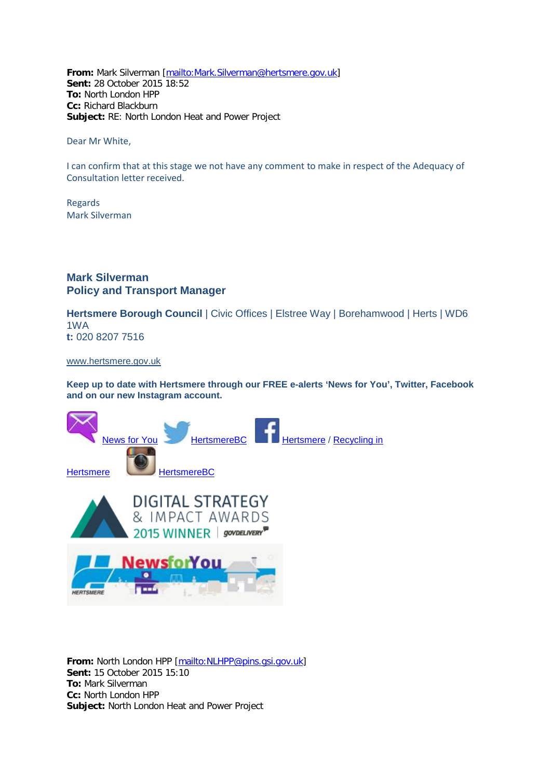**From:** Mark Silverman [\[mailto:Mark.Silverman@hertsmere.gov.uk\]](mailto:Mark.Silverman@hertsmere.gov.uk) **Sent:** 28 October 2015 18:52 **To:** North London HPP **Cc:** Richard Blackburn **Subject:** RE: North London Heat and Power Project

Dear Mr White,

I can confirm that at this stage we not have any comment to make in respect of the Adequacy of Consultation letter received.

Regards Mark Silverman

## **Mark Silverman Policy and Transport Manager**

**Hertsmere Borough Council** | Civic Offices | Elstree Way | Borehamwood | Herts | WD6 1WA **t:** 020 8207 7516

[www.hertsmere.gov.uk](http://www.hertsmere.gov.uk/)

**Keep up to date with Hertsmere through our FREE e-alerts 'News for You', Twitter, Facebook and on our new Instagram account.** 



From: North London HPP [\[mailto:NLHPP@pins.gsi.gov.uk\]](mailto:NLHPP@pins.gsi.gov.uk) **Sent:** 15 October 2015 15:10 **To:** Mark Silverman **Cc:** North London HPP **Subject:** North London Heat and Power Project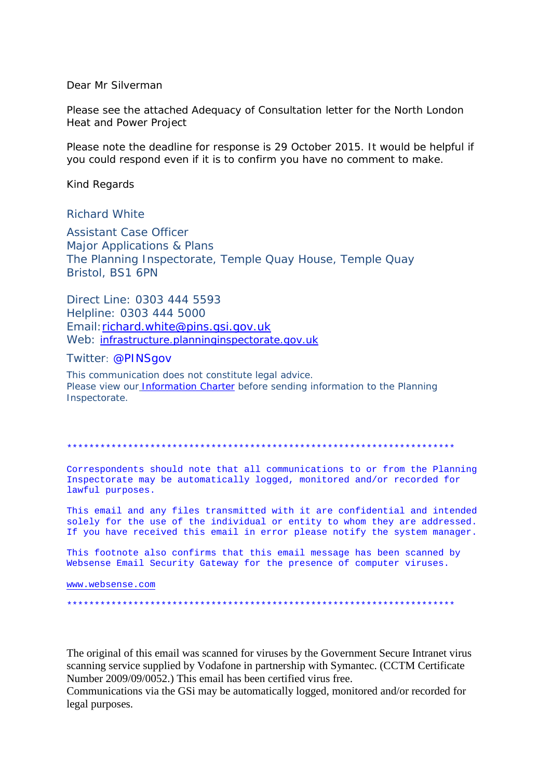Dear Mr Silverman

Please see the attached Adequacy of Consultation letter for the North London **Heat and Power Project** 

Please note the deadline for response is 29 October 2015. It would be helpful if you could respond even if it is to confirm you have no comment to make.

**Kind Regards** 

**Richard White** 

**Assistant Case Officer Major Applications & Plans** The Planning Inspectorate, Temple Quay House, Temple Quay Bristol, BS1 6PN

Direct Line: 0303 444 5593 Helpline: 0303 444 5000 Email: richard.white@pins.gsi.gov.uk Web: infrastructure.planninginspectorate.gov.uk

## Twitter: @PINSgov

This communication does not constitute legal advice. Please view our **Information Charter** before sending information to the Planning Inspectorate.

Correspondents should note that all communications to or from the Planning Inspectorate may be automatically logged, monitored and/or recorded for lawful purposes.

This email and any files transmitted with it are confidential and intended solely for the use of the individual or entity to whom they are addressed. If you have received this email in error please notify the system manager.

This footnote also confirms that this email message has been scanned by Websense Email Security Gateway for the presence of computer viruses.

www.websense.com

The original of this email was scanned for viruses by the Government Secure Intranet virus scanning service supplied by Vodafone in partnership with Symantec. (CCTM Certificate Number 2009/09/0052.) This email has been certified virus free.

Communications via the GSi may be automatically logged, monitored and/or recorded for legal purposes.